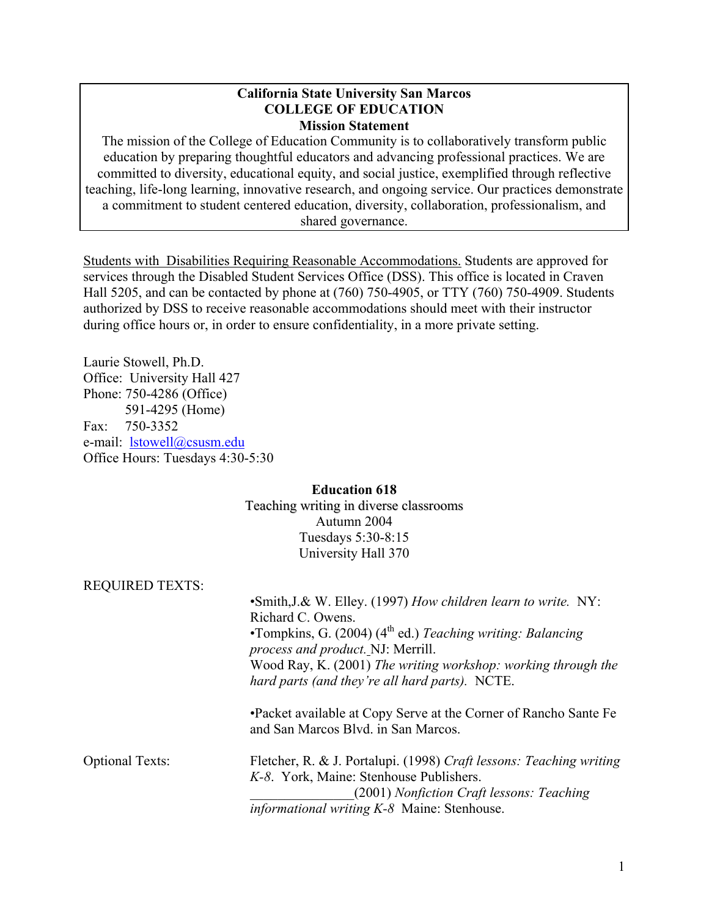#### **California State University San Marcos COLLEGE OF EDUCATION Mission Statement**

The mission of the College of Education Community is to collaboratively transform public education by preparing thoughtful educators and advancing professional practices. We are committed to diversity, educational equity, and social justice, exemplified through reflective teaching, life-long learning, innovative research, and ongoing service. Our practices demonstrate a commitment to student centered education, diversity, collaboration, professionalism, and shared governance.

Students with Disabilities Requiring Reasonable Accommodations. Students are approved for services through the Disabled Student Services Office (DSS). This office is located in Craven Hall 5205, and can be contacted by phone at (760) 750-4905, or TTY (760) 750-4909. Students authorized by DSS to receive reasonable accommodations should meet with their instructor during office hours or, in order to ensure confidentiality, in a more private setting.

Laurie Stowell, Ph.D. Office: University Hall 427 Phone: 750-4286 (Office) 591-4295 (Home) Fax: 750-3352 e-mail: lstowell@csusm.edu Office Hours: Tuesdays 4:30-5:30

#### **Education 618** Teaching writing in diverse classrooms Autumn 2004 Tuesdays 5:30-8:15 University Hall 370

| • Smith, J.& W. Elley. (1997) How children learn to write. NY:<br>Richard C. Owens.                                                                                                                        |
|------------------------------------------------------------------------------------------------------------------------------------------------------------------------------------------------------------|
| •Tompkins, G. (2004) ( $4th$ ed.) Teaching writing: Balancing<br>process and product. NJ: Merrill.                                                                                                         |
| Wood Ray, K. (2001) The writing workshop: working through the<br>hard parts (and they're all hard parts). NCTE.                                                                                            |
| •Packet available at Copy Serve at the Corner of Rancho Sante Fe<br>and San Marcos Blvd. in San Marcos.                                                                                                    |
| Fletcher, R. & J. Portalupi. (1998) Craft lessons: Teaching writing<br>K-8. York, Maine: Stenhouse Publishers.<br>(2001) Nonfiction Craft lessons: Teaching<br>informational writing K-8 Maine: Stenhouse. |
|                                                                                                                                                                                                            |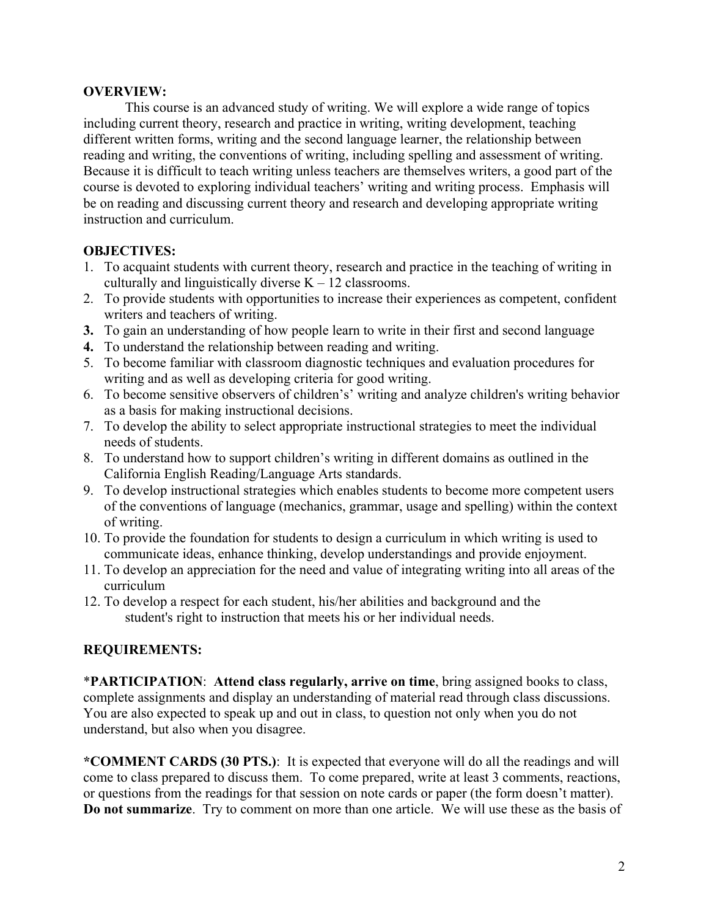#### **OVERVIEW:**

 This course is an advanced study of writing. We will explore a wide range of topics including current theory, research and practice in writing, writing development, teaching different written forms, writing and the second language learner, the relationship between reading and writing, the conventions of writing, including spelling and assessment of writing. Because it is difficult to teach writing unless teachers are themselves writers, a good part of the course is devoted to exploring individual teachers' writing and writing process. Emphasis will be on reading and discussing current theory and research and developing appropriate writing instruction and curriculum.

# **OBJECTIVES:**

- 1. To acquaint students with current theory, research and practice in the teaching of writing in culturally and linguistically diverse  $K - 12$  classrooms.
- 2. To provide students with opportunities to increase their experiences as competent, confident writers and teachers of writing.
- **3.** To gain an understanding of how people learn to write in their first and second language
- **4.** To understand the relationship between reading and writing.
- 5. To become familiar with classroom diagnostic techniques and evaluation procedures for writing and as well as developing criteria for good writing.
- 6. To become sensitive observers of children's' writing and analyze children's writing behavior as a basis for making instructional decisions.
- 7. To develop the ability to select appropriate instructional strategies to meet the individual needs of students.
- 8. To understand how to support children's writing in different domains as outlined in the California English Reading/Language Arts standards.
- 9. To develop instructional strategies which enables students to become more competent users of the conventions of language (mechanics, grammar, usage and spelling) within the context of writing.
- 10. To provide the foundation for students to design a curriculum in which writing is used to communicate ideas, enhance thinking, develop understandings and provide enjoyment.
- 11. To develop an appreciation for the need and value of integrating writing into all areas of the curriculum
- 12. To develop a respect for each student, his/her abilities and background and the student's right to instruction that meets his or her individual needs.

# **REQUIREMENTS:**

\***PARTICIPATION**: **Attend class regularly, arrive on time**, bring assigned books to class, complete assignments and display an understanding of material read through class discussions. You are also expected to speak up and out in class, to question not only when you do not understand, but also when you disagree.

**\*COMMENT CARDS (30 PTS.)**: It is expected that everyone will do all the readings and will come to class prepared to discuss them. To come prepared, write at least 3 comments, reactions, or questions from the readings for that session on note cards or paper (the form doesn't matter). **Do not summarize**. Try to comment on more than one article. We will use these as the basis of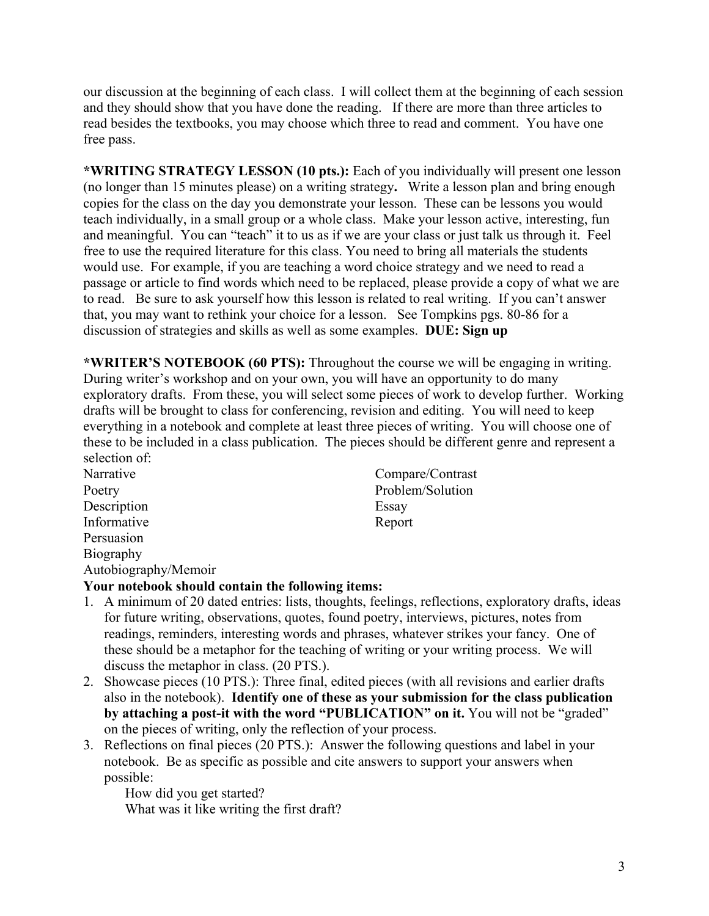our discussion at the beginning of each class. I will collect them at the beginning of each session and they should show that you have done the reading. If there are more than three articles to read besides the textbooks, you may choose which three to read and comment. You have one free pass.

**\*WRITING STRATEGY LESSON (10 pts.):** Each of you individually will present one lesson (no longer than 15 minutes please) on a writing strategy**.** Write a lesson plan and bring enough copies for the class on the day you demonstrate your lesson. These can be lessons you would teach individually, in a small group or a whole class. Make your lesson active, interesting, fun and meaningful. You can "teach" it to us as if we are your class or just talk us through it. Feel free to use the required literature for this class. You need to bring all materials the students would use. For example, if you are teaching a word choice strategy and we need to read a passage or article to find words which need to be replaced, please provide a copy of what we are to read. Be sure to ask yourself how this lesson is related to real writing. If you can't answer that, you may want to rethink your choice for a lesson. See Tompkins pgs. 80-86 for a discussion of strategies and skills as well as some examples. **DUE: Sign up** 

**\*WRITER'S NOTEBOOK (60 PTS):** Throughout the course we will be engaging in writing. During writer's workshop and on your own, you will have an opportunity to do many exploratory drafts. From these, you will select some pieces of work to develop further. Working drafts will be brought to class for conferencing, revision and editing. You will need to keep everything in a notebook and complete at least three pieces of writing. You will choose one of these to be included in a class publication. The pieces should be different genre and represent a selection of:

Description Essay Informative Report Persuasion Biography Autobiography/Memoir

Narrative Compare/Contrast Poetry Problem/Solution

# **Your notebook should contain the following items:**

- 1. A minimum of 20 dated entries: lists, thoughts, feelings, reflections, exploratory drafts, ideas for future writing, observations, quotes, found poetry, interviews, pictures, notes from readings, reminders, interesting words and phrases, whatever strikes your fancy. One of these should be a metaphor for the teaching of writing or your writing process. We will discuss the metaphor in class. (20 PTS.).
- 2. Showcase pieces (10 PTS.): Three final, edited pieces (with all revisions and earlier drafts also in the notebook). **Identify one of these as your submission for the class publication by attaching a post-it with the word "PUBLICATION" on it.** You will not be "graded" on the pieces of writing, only the reflection of your process.
- 3. Reflections on final pieces (20 PTS.): Answer the following questions and label in your notebook. Be as specific as possible and cite answers to support your answers when possible:

How did you get started? What was it like writing the first draft?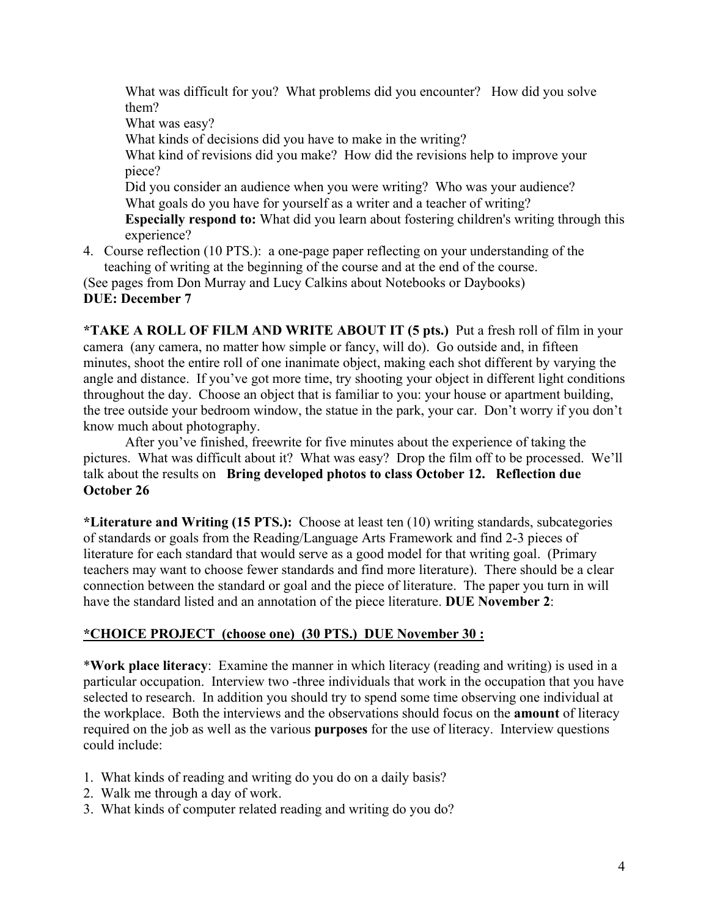What was difficult for you? What problems did you encounter? How did you solve them? What was easy? What kinds of decisions did you have to make in the writing? What kind of revisions did you make? How did the revisions help to improve your piece? Did you consider an audience when you were writing? Who was your audience? What goals do you have for yourself as a writer and a teacher of writing?

**Especially respond to:** What did you learn about fostering children's writing through this experience?

4. Course reflection (10 PTS.): a one-page paper reflecting on your understanding of the teaching of writing at the beginning of the course and at the end of the course.

(See pages from Don Murray and Lucy Calkins about Notebooks or Daybooks) **DUE: December 7** 

**\*TAKE A ROLL OF FILM AND WRITE ABOUT IT (5 pts.)** Put a fresh roll of film in your camera (any camera, no matter how simple or fancy, will do). Go outside and, in fifteen minutes, shoot the entire roll of one inanimate object, making each shot different by varying the angle and distance. If you've got more time, try shooting your object in different light conditions throughout the day. Choose an object that is familiar to you: your house or apartment building, the tree outside your bedroom window, the statue in the park, your car. Don't worry if you don't know much about photography.

After you've finished, freewrite for five minutes about the experience of taking the pictures. What was difficult about it? What was easy? Drop the film off to be processed. We'll talk about the results on **Bring developed photos to class October 12. Reflection due October 26** 

**\*Literature and Writing (15 PTS.):** Choose at least ten (10) writing standards, subcategories of standards or goals from the Reading/Language Arts Framework and find 2-3 pieces of literature for each standard that would serve as a good model for that writing goal. (Primary teachers may want to choose fewer standards and find more literature). There should be a clear connection between the standard or goal and the piece of literature. The paper you turn in will have the standard listed and an annotation of the piece literature. **DUE November 2**:

# **\*CHOICE PROJECT (choose one) (30 PTS.) DUE November 30 :**

\***Work place literacy**: Examine the manner in which literacy (reading and writing) is used in a particular occupation. Interview two -three individuals that work in the occupation that you have selected to research. In addition you should try to spend some time observing one individual at the workplace. Both the interviews and the observations should focus on the **amount** of literacy required on the job as well as the various **purposes** for the use of literacy. Interview questions could include:

- 1. What kinds of reading and writing do you do on a daily basis?
- 2. Walk me through a day of work.
- 3. What kinds of computer related reading and writing do you do?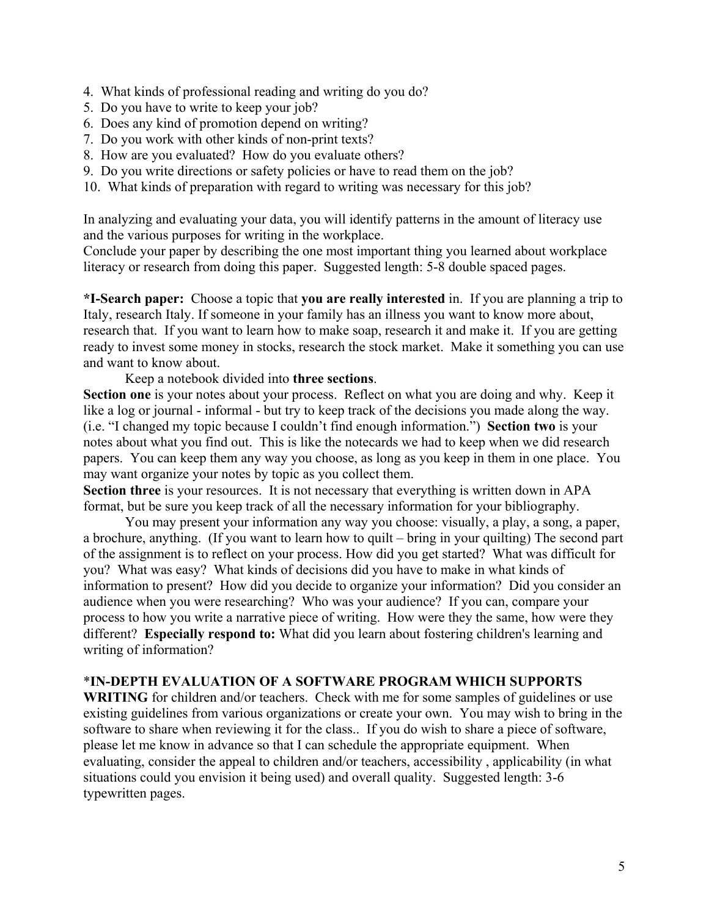- 4. What kinds of professional reading and writing do you do?
- 5. Do you have to write to keep your job?
- 6. Does any kind of promotion depend on writing?
- 7. Do you work with other kinds of non-print texts?
- 8. How are you evaluated? How do you evaluate others?
- 9. Do you write directions or safety policies or have to read them on the job?
- 10. What kinds of preparation with regard to writing was necessary for this job?

In analyzing and evaluating your data, you will identify patterns in the amount of literacy use and the various purposes for writing in the workplace.

Conclude your paper by describing the one most important thing you learned about workplace literacy or research from doing this paper. Suggested length: 5-8 double spaced pages.

**\*I-Search paper:** Choose a topic that **you are really interested** in. If you are planning a trip to Italy, research Italy. If someone in your family has an illness you want to know more about, research that. If you want to learn how to make soap, research it and make it. If you are getting ready to invest some money in stocks, research the stock market. Make it something you can use and want to know about.

Keep a notebook divided into **three sections**.

**Section one** is your notes about your process. Reflect on what you are doing and why. Keep it like a log or journal - informal - but try to keep track of the decisions you made along the way. (i.e. "I changed my topic because I couldn't find enough information.") **Section two** is your notes about what you find out. This is like the notecards we had to keep when we did research papers. You can keep them any way you choose, as long as you keep in them in one place. You may want organize your notes by topic as you collect them.

Section three is your resources. It is not necessary that everything is written down in APA format, but be sure you keep track of all the necessary information for your bibliography.

 You may present your information any way you choose: visually, a play, a song, a paper, a brochure, anything. (If you want to learn how to quilt – bring in your quilting) The second part of the assignment is to reflect on your process. How did you get started? What was difficult for you? What was easy? What kinds of decisions did you have to make in what kinds of information to present? How did you decide to organize your information? Did you consider an audience when you were researching? Who was your audience? If you can, compare your process to how you write a narrative piece of writing. How were they the same, how were they different? **Especially respond to:** What did you learn about fostering children's learning and writing of information?

#### \***IN-DEPTH EVALUATION OF A SOFTWARE PROGRAM WHICH SUPPORTS**

**WRITING** for children and/or teachers. Check with me for some samples of guidelines or use existing guidelines from various organizations or create your own. You may wish to bring in the software to share when reviewing it for the class.. If you do wish to share a piece of software, please let me know in advance so that I can schedule the appropriate equipment. When evaluating, consider the appeal to children and/or teachers, accessibility , applicability (in what situations could you envision it being used) and overall quality. Suggested length: 3-6 typewritten pages.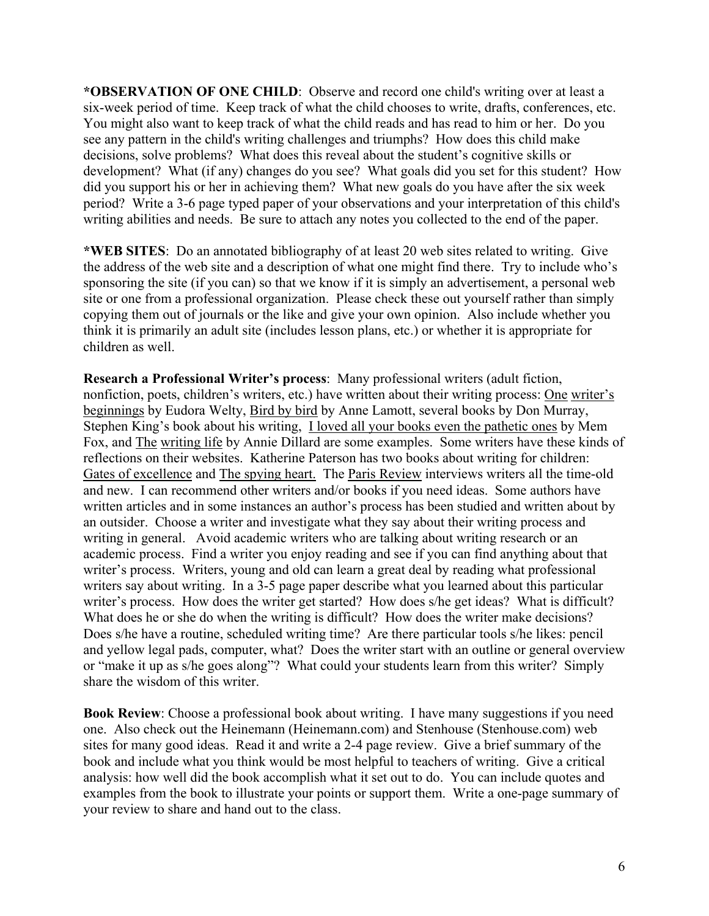**\*OBSERVATION OF ONE CHILD**: Observe and record one child's writing over at least a six-week period of time. Keep track of what the child chooses to write, drafts, conferences, etc. You might also want to keep track of what the child reads and has read to him or her. Do you see any pattern in the child's writing challenges and triumphs? How does this child make decisions, solve problems? What does this reveal about the student's cognitive skills or development? What (if any) changes do you see? What goals did you set for this student? How did you support his or her in achieving them? What new goals do you have after the six week period? Write a 3-6 page typed paper of your observations and your interpretation of this child's writing abilities and needs. Be sure to attach any notes you collected to the end of the paper.

**\*WEB SITES**: Do an annotated bibliography of at least 20 web sites related to writing. Give the address of the web site and a description of what one might find there. Try to include who's sponsoring the site (if you can) so that we know if it is simply an advertisement, a personal web site or one from a professional organization. Please check these out yourself rather than simply copying them out of journals or the like and give your own opinion. Also include whether you think it is primarily an adult site (includes lesson plans, etc.) or whether it is appropriate for children as well.

**Research a Professional Writer's process**: Many professional writers (adult fiction, nonfiction, poets, children's writers, etc.) have written about their writing process: <u>One writer's</u> beginnings by Eudora Welty, Bird by bird by Anne Lamott, several books by Don Murray, Stephen King's book about his writing, I loved all your books even the pathetic ones by Mem Fox, and The writing life by Annie Dillard are some examples. Some writers have these kinds of reflections on their websites. Katherine Paterson has two books about writing for children: Gates of excellence and The spying heart. The Paris Review interviews writers all the time-old and new. I can recommend other writers and/or books if you need ideas. Some authors have written articles and in some instances an author's process has been studied and written about by an outsider. Choose a writer and investigate what they say about their writing process and writing in general. Avoid academic writers who are talking about writing research or an academic process. Find a writer you enjoy reading and see if you can find anything about that writer's process. Writers, young and old can learn a great deal by reading what professional writers say about writing. In a 3-5 page paper describe what you learned about this particular writer's process. How does the writer get started? How does s/he get ideas? What is difficult? What does he or she do when the writing is difficult? How does the writer make decisions? Does s/he have a routine, scheduled writing time? Are there particular tools s/he likes: pencil and yellow legal pads, computer, what? Does the writer start with an outline or general overview or "make it up as s/he goes along"? What could your students learn from this writer? Simply share the wisdom of this writer.

**Book Review**: Choose a professional book about writing. I have many suggestions if you need one. Also check out the Heinemann (Heinemann.com) and Stenhouse (Stenhouse.com) web sites for many good ideas. Read it and write a 2-4 page review. Give a brief summary of the book and include what you think would be most helpful to teachers of writing. Give a critical analysis: how well did the book accomplish what it set out to do. You can include quotes and examples from the book to illustrate your points or support them. Write a one-page summary of your review to share and hand out to the class.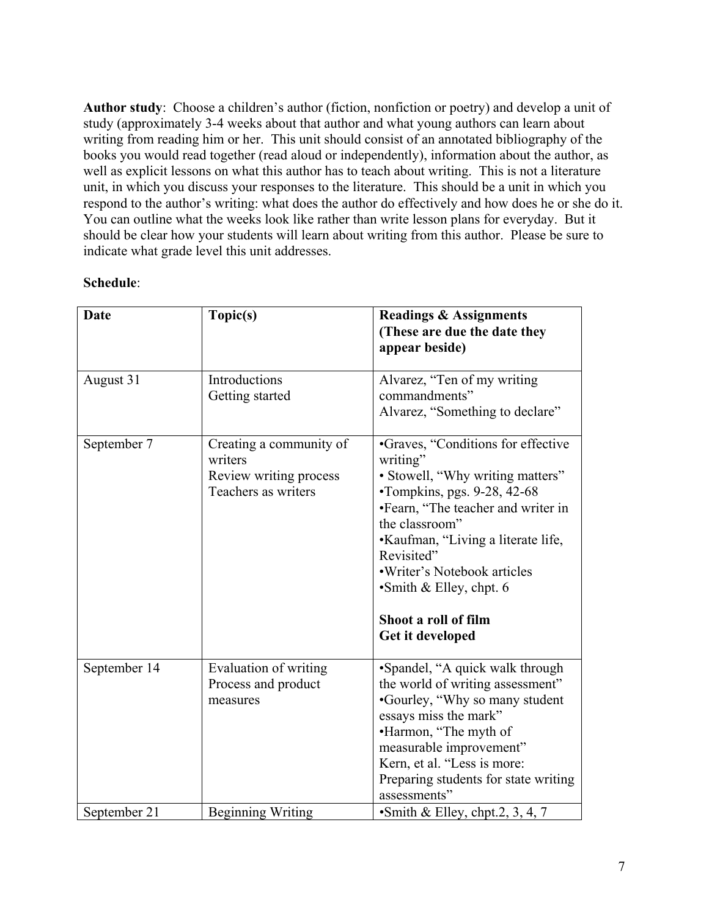**Author study**: Choose a children's author (fiction, nonfiction or poetry) and develop a unit of study (approximately 3-4 weeks about that author and what young authors can learn about writing from reading him or her. This unit should consist of an annotated bibliography of the books you would read together (read aloud or independently), information about the author, as well as explicit lessons on what this author has to teach about writing. This is not a literature unit, in which you discuss your responses to the literature. This should be a unit in which you respond to the author's writing: what does the author do effectively and how does he or she do it. You can outline what the weeks look like rather than write lesson plans for everyday. But it should be clear how your students will learn about writing from this author. Please be sure to indicate what grade level this unit addresses.

# **Schedule**:

| <b>Date</b>  | Topic(s)                                                                            | <b>Readings &amp; Assignments</b><br>(These are due the date they<br>appear beside)                                                                                                                                                                                                                                                           |
|--------------|-------------------------------------------------------------------------------------|-----------------------------------------------------------------------------------------------------------------------------------------------------------------------------------------------------------------------------------------------------------------------------------------------------------------------------------------------|
| August 31    | Introductions<br>Getting started                                                    | Alvarez, "Ten of my writing<br>commandments"<br>Alvarez, "Something to declare"                                                                                                                                                                                                                                                               |
| September 7  | Creating a community of<br>writers<br>Review writing process<br>Teachers as writers | •Graves, "Conditions for effective<br>writing"<br>• Stowell, "Why writing matters"<br>•Tompkins, pgs. 9-28, 42-68<br>•Fearn, "The teacher and writer in<br>the classroom"<br>•Kaufman, "Living a literate life,<br>Revisited"<br>• Writer's Notebook articles<br>$\bullet$ Smith & Elley, chpt. 6<br>Shoot a roll of film<br>Get it developed |
| September 14 | Evaluation of writing<br>Process and product<br>measures                            | •Spandel, "A quick walk through<br>the world of writing assessment"<br>•Gourley, "Why so many student"<br>essays miss the mark"<br>•Harmon, "The myth of<br>measurable improvement"<br>Kern, et al. "Less is more:<br>Preparing students for state writing<br>assessments"                                                                    |
| September 21 | <b>Beginning Writing</b>                                                            | Smith & Elley, chpt.2, 3, 4, 7                                                                                                                                                                                                                                                                                                                |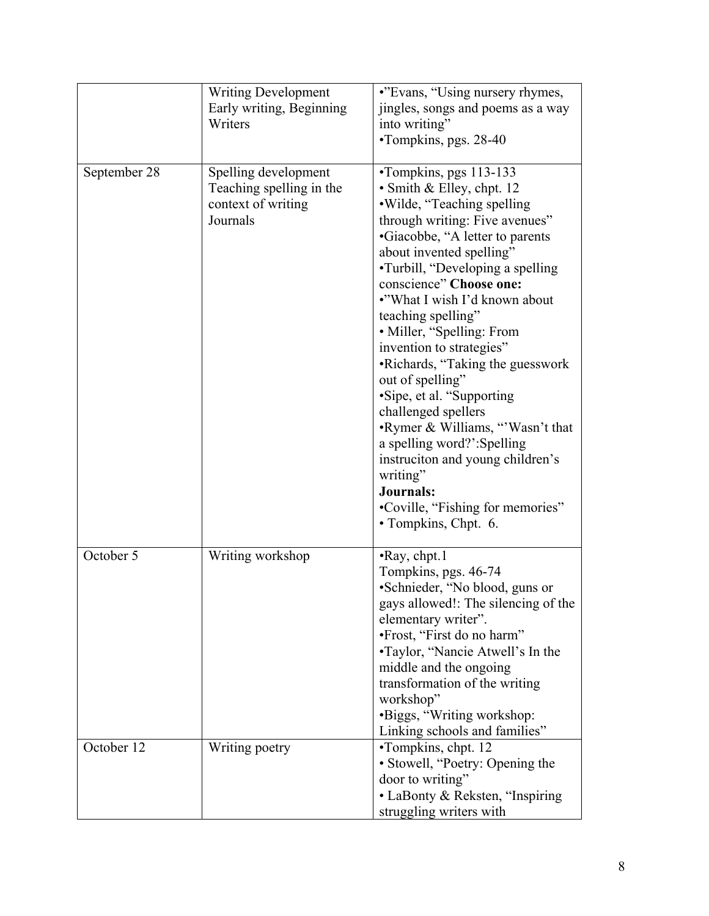|              | <b>Writing Development</b><br>Early writing, Beginning<br>Writers                  | •"Evans, "Using nursery rhymes,<br>jingles, songs and poems as a way<br>into writing"<br>•Tompkins, pgs. 28-40                                                                                                                                                                                                                                                                                                                                                                                                                                                                                                                                                           |
|--------------|------------------------------------------------------------------------------------|--------------------------------------------------------------------------------------------------------------------------------------------------------------------------------------------------------------------------------------------------------------------------------------------------------------------------------------------------------------------------------------------------------------------------------------------------------------------------------------------------------------------------------------------------------------------------------------------------------------------------------------------------------------------------|
| September 28 | Spelling development<br>Teaching spelling in the<br>context of writing<br>Journals | •Tompkins, pgs 113-133<br>• Smith & Elley, chpt. 12<br>. Wilde, "Teaching spelling<br>through writing: Five avenues"<br>•Giacobbe, "A letter to parents<br>about invented spelling"<br>•Turbill, "Developing a spelling<br>conscience" Choose one:<br>•"What I wish I'd known about<br>teaching spelling"<br>• Miller, "Spelling: From<br>invention to strategies"<br>•Richards, "Taking the guesswork<br>out of spelling"<br>•Sipe, et al. "Supporting<br>challenged spellers<br>•Rymer & Williams, "Wasn't that<br>a spelling word?':Spelling<br>instruction and young children's<br>writing"<br>Journals:<br>•Coville, "Fishing for memories"<br>• Tompkins, Chpt. 6. |
| October 5    | Writing workshop                                                                   | •Ray, chpt.1<br>Tompkins, pgs. 46-74<br>•Schnieder, "No blood, guns or<br>gays allowed!: The silencing of the<br>elementary writer".<br>•Frost, "First do no harm"<br>•Taylor, "Nancie Atwell's In the<br>middle and the ongoing<br>transformation of the writing<br>workshop"<br>•Biggs, "Writing workshop:<br>Linking schools and families"                                                                                                                                                                                                                                                                                                                            |
| October 12   | Writing poetry                                                                     | •Tompkins, chpt. 12<br>· Stowell, "Poetry: Opening the<br>door to writing"<br>• LaBonty & Reksten, "Inspiring<br>struggling writers with                                                                                                                                                                                                                                                                                                                                                                                                                                                                                                                                 |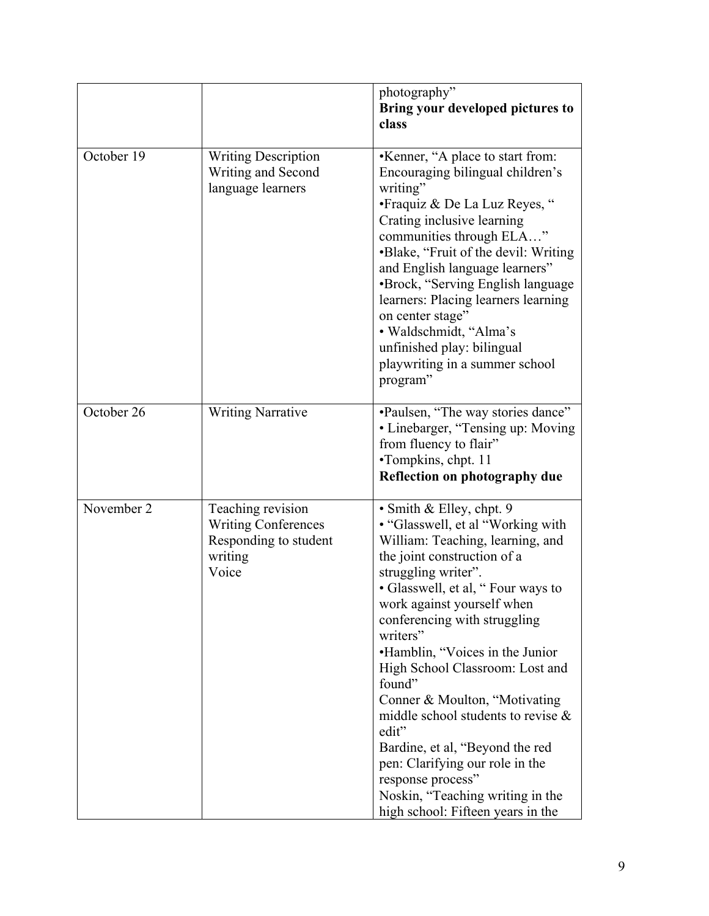|            |                                                                                              | photography"<br>Bring your developed pictures to<br>class                                                                                                                                                                                                                                                                                                                                                                                                                                                                                                                                                      |
|------------|----------------------------------------------------------------------------------------------|----------------------------------------------------------------------------------------------------------------------------------------------------------------------------------------------------------------------------------------------------------------------------------------------------------------------------------------------------------------------------------------------------------------------------------------------------------------------------------------------------------------------------------------------------------------------------------------------------------------|
| October 19 | <b>Writing Description</b><br>Writing and Second<br>language learners                        | •Kenner, "A place to start from:<br>Encouraging bilingual children's<br>writing"<br>• Fraquiz & De La Luz Reyes, "<br>Crating inclusive learning<br>communities through ELA"<br>•Blake, "Fruit of the devil: Writing<br>and English language learners"<br>•Brock, "Serving English language<br>learners: Placing learners learning<br>on center stage"<br>· Waldschmidt, "Alma's<br>unfinished play: bilingual<br>playwriting in a summer school<br>program"                                                                                                                                                   |
| October 26 | <b>Writing Narrative</b>                                                                     | •Paulsen, "The way stories dance"<br>• Linebarger, "Tensing up: Moving<br>from fluency to flair"<br>•Tompkins, chpt. 11<br>Reflection on photography due                                                                                                                                                                                                                                                                                                                                                                                                                                                       |
| November 2 | Teaching revision<br><b>Writing Conferences</b><br>Responding to student<br>writing<br>Voice | • Smith & Elley, chpt. 9<br>• "Glasswell, et al "Working with"<br>William: Teaching, learning, and<br>the joint construction of a<br>struggling writer".<br>• Glasswell, et al, "Four ways to<br>work against yourself when<br>conferencing with struggling<br>writers"<br>•Hamblin, "Voices in the Junior<br>High School Classroom: Lost and<br>found"<br>Conner & Moulton, "Motivating<br>middle school students to revise $\&$<br>edit"<br>Bardine, et al, "Beyond the red<br>pen: Clarifying our role in the<br>response process"<br>Noskin, "Teaching writing in the<br>high school: Fifteen years in the |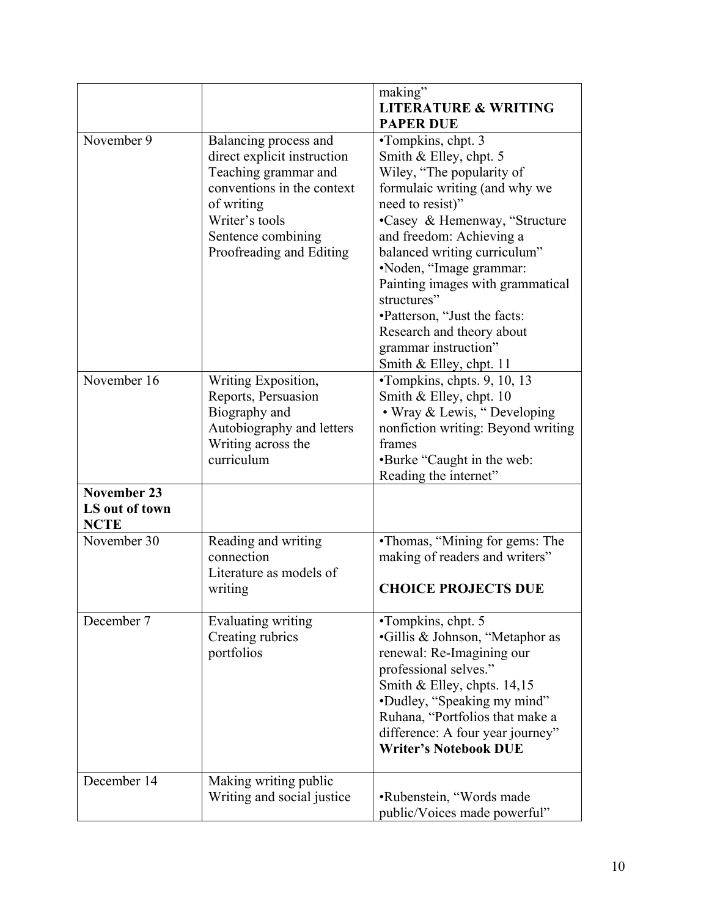|                                                     |                                                                                                                                                                                              | making"<br><b>LITERATURE &amp; WRITING</b><br><b>PAPER DUE</b>                                                                                                                                                                                                                                                                                                                                                            |
|-----------------------------------------------------|----------------------------------------------------------------------------------------------------------------------------------------------------------------------------------------------|---------------------------------------------------------------------------------------------------------------------------------------------------------------------------------------------------------------------------------------------------------------------------------------------------------------------------------------------------------------------------------------------------------------------------|
| November 9                                          | Balancing process and<br>direct explicit instruction<br>Teaching grammar and<br>conventions in the context<br>of writing<br>Writer's tools<br>Sentence combining<br>Proofreading and Editing | •Tompkins, chpt. 3<br>Smith & Elley, chpt. 5<br>Wiley, "The popularity of<br>formulaic writing (and why we<br>need to resist)"<br>•Casey & Hemenway, "Structure<br>and freedom: Achieving a<br>balanced writing curriculum"<br>•Noden, "Image grammar:<br>Painting images with grammatical<br>structures"<br>•Patterson, "Just the facts:<br>Research and theory about<br>grammar instruction"<br>Smith & Elley, chpt. 11 |
| November 16                                         | Writing Exposition,<br>Reports, Persuasion<br>Biography and<br>Autobiography and letters<br>Writing across the<br>curriculum                                                                 | •Tompkins, chpts. 9, 10, 13<br>Smith & Elley, chpt. 10<br>• Wray & Lewis, "Developing<br>nonfiction writing: Beyond writing<br>frames<br>•Burke "Caught in the web:<br>Reading the internet"                                                                                                                                                                                                                              |
| <b>November 23</b><br>LS out of town<br><b>NCTE</b> |                                                                                                                                                                                              |                                                                                                                                                                                                                                                                                                                                                                                                                           |
| November 30                                         | Reading and writing<br>connection<br>Literature as models of<br>writing                                                                                                                      | •Thomas, "Mining for gems: The<br>making of readers and writers"<br><b>CHOICE PROJECTS DUE</b>                                                                                                                                                                                                                                                                                                                            |
| December 7                                          | <b>Evaluating writing</b><br>Creating rubrics<br>portfolios                                                                                                                                  | •Tompkins, chpt. 5<br>•Gillis & Johnson, "Metaphor as<br>renewal: Re-Imagining our<br>professional selves."<br>Smith & Elley, chpts. $14,15$<br>•Dudley, "Speaking my mind"<br>Ruhana, "Portfolios that make a<br>difference: A four year journey"<br><b>Writer's Notebook DUE</b>                                                                                                                                        |
| December 14                                         | Making writing public<br>Writing and social justice                                                                                                                                          | •Rubenstein, "Words made<br>public/Voices made powerful"                                                                                                                                                                                                                                                                                                                                                                  |